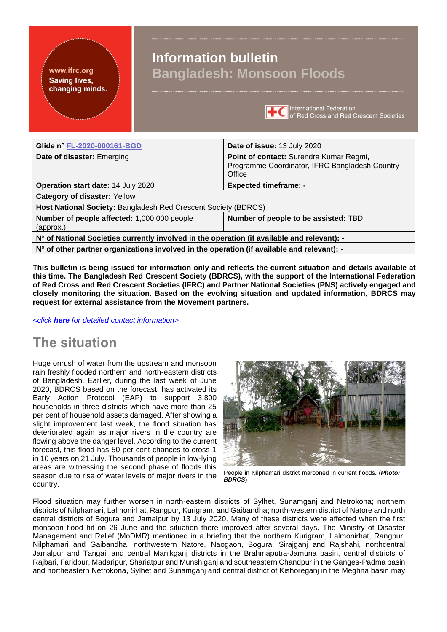#### <span id="page-0-0"></span>www.ifrc.org **Saving lives.** changing minds.

# **Information bulletin Bangladesh: Monsoon Floods**



**International Federation** of Red Cross and Red Crescent Societies

| Glide n° FL-2020-000161-BGD                                                                 | Date of issue: 13 July 2020                                                                         |
|---------------------------------------------------------------------------------------------|-----------------------------------------------------------------------------------------------------|
| Date of disaster: Emerging                                                                  | Point of contact: Surendra Kumar Regmi,<br>Programme Coordinator, IFRC Bangladesh Country<br>Office |
| Operation start date: 14 July 2020                                                          | <b>Expected timeframe: -</b>                                                                        |
| <b>Category of disaster: Yellow</b>                                                         |                                                                                                     |
| Host National Society: Bangladesh Red Crescent Society (BDRCS)                              |                                                                                                     |
| Number of people affected: 1,000,000 people<br>(approx.)                                    | Number of people to be assisted: TBD                                                                |
| N° of National Societies currently involved in the operation (if available and relevant): - |                                                                                                     |
| N° of other partner organizations involved in the operation (if available and relevant): -  |                                                                                                     |

**This bulletin is being issued for information only and reflects the current situation and details available at this time. The Bangladesh Red Crescent Society (BDRCS), with the support of the International Federation of Red Cross and Red Crescent Societies (IFRC) and Partner National Societies (PNS) actively engaged and closely monitoring the situation. Based on the evolving situation and updated information, BDRCS may request for external assistance from the Movement partners.**

*<click [here](#page-3-0) for detailed contact information>*

# **The situation**

Huge onrush of water from the upstream and monsoon rain freshly flooded northern and north-eastern districts of Bangladesh. Earlier, during the last week of June 2020, BDRCS based on the forecast, has activated its Early Action Protocol (EAP) to support 3,800 households in three districts which have more than 25 per cent of household assets damaged. After showing a slight improvement last week, the flood situation has deteriorated again as major rivers in the country are flowing above the danger level. According to the current forecast, this flood has 50 per cent chances to cross 1 in 10 years on 21 July. Thousands of people in low-lying areas are witnessing the second phase of floods this season due to rise of water levels of major rivers in the country.



People in Nilphamari district marooned in current floods. (*Photo: BDRCS*)

Flood situation may further worsen in north-eastern districts of Sylhet, Sunamganj and Netrokona; northern districts of Nilphamari, Lalmonirhat, Rangpur, Kurigram, and Gaibandha; north-western district of Natore and north central districts of Bogura and Jamalpur by 13 July 2020. Many of these districts were affected when the first monsoon flood hit on 26 June and the situation there improved after several days. The Ministry of Disaster Management and Relief (MoDMR) mentioned in a briefing that the northern Kurigram, Lalmonirhat, Rangpur, Nilphamari and Gaibandha, northwestern Natore, Naogaon, Bogura, Sirajganj and Rajshahi, northcentral Jamalpur and Tangail and central Manikganj districts in the Brahmaputra-Jamuna basin, central districts of Rajbari, Faridpur, Madaripur, Shariatpur and Munshiganj and southeastern Chandpur in the Ganges-Padma basin and northeastern Netrokona, Sylhet and Sunamganj and central district of Kishoreganj in the Meghna basin may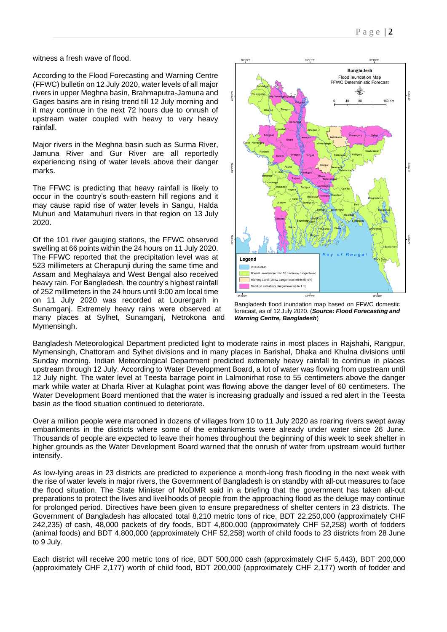witness a fresh wave of flood.

According to the Flood Forecasting and Warning Centre (FFWC) bulletin on 12 July 2020, water levels of all major rivers in upper Meghna basin, Brahmaputra-Jamuna and Gages basins are in rising trend till 12 July morning and it may continue in the next 72 hours due to onrush of upstream water coupled with heavy to very heavy rainfall.

Major rivers in the Meghna basin such as Surma River, Jamuna River and Gur River are all reportedly experiencing rising of water levels above their danger marks.

The FFWC is predicting that heavy rainfall is likely to occur in the country's south-eastern hill regions and it may cause rapid rise of water levels in Sangu, Halda Muhuri and Matamuhuri rivers in that region on 13 July 2020.

Of the 101 river gauging stations, the FFWC observed swelling at 66 points within the 24 hours on 11 July 2020. The FFWC reported that the precipitation level was at 523 millimeters at Cherapunji during the same time and Assam and Meghalaya and West Bengal also received heavy rain. For Bangladesh, the country's highest rainfall of 252 millimeters in the 24 hours until 9:00 am local time on 11 July 2020 was recorded at Lourergarh in Sunamganj. Extremely heavy rains were observed at many places at Sylhet, Sunamganj, Netrokona and Mymensingh.



Bangladesh flood inundation map based on FFWC domestic forecast, as of 12 July 2020. (*Source: Flood Forecasting and Warning Centre, Bangladesh*)

Bangladesh Meteorological Department predicted light to moderate rains in most places in Rajshahi, Rangpur, Mymensingh, Chattoram and Sylhet divisions and in many places in Barishal, Dhaka and Khulna divisions until Sunday morning. Indian Meteorological Department predicted extremely heavy rainfall to continue in places upstream through 12 July. According to Water Development Board, a lot of water was flowing from upstream until 12 July night. The water level at Teesta barrage point in Lalmonirhat rose to 55 centimeters above the danger mark while water at Dharla River at Kulaghat point was flowing above the danger level of 60 centimeters. The Water Development Board mentioned that the water is increasing gradually and issued a red alert in the Teesta basin as the flood situation continued to deteriorate.

Over a million people were marooned in dozens of villages from 10 to 11 July 2020 as roaring rivers swept away embankments in the districts where some of the embankments were already under water since 26 June. Thousands of people are expected to leave their homes throughout the beginning of this week to seek shelter in higher grounds as the Water Development Board warned that the onrush of water from upstream would further intensify.

As low-lying areas in 23 districts are predicted to experience a month-long fresh flooding in the next week with the rise of water levels in major rivers, the Government of Bangladesh is on standby with all-out measures to face the flood situation. The State Minister of MoDMR said in a briefing that the government has taken all-out preparations to protect the lives and livelihoods of people from the approaching flood as the deluge may continue for prolonged period. Directives have been given to ensure preparedness of shelter centers in 23 districts. The Government of Bangladesh has allocated total 8,210 metric tons of rice, BDT 22,250,000 (approximately CHF 242,235) of cash, 48,000 packets of dry foods, BDT 4,800,000 (approximately CHF 52,258) worth of fodders (animal foods) and BDT 4,800,000 (approximately CHF 52,258) worth of child foods to 23 districts from 28 June to 9 July.

Each district will receive 200 metric tons of rice, BDT 500,000 cash (approximately CHF 5,443), BDT 200,000 (approximately CHF 2,177) worth of child food, BDT 200,000 (approximately CHF 2,177) worth of fodder and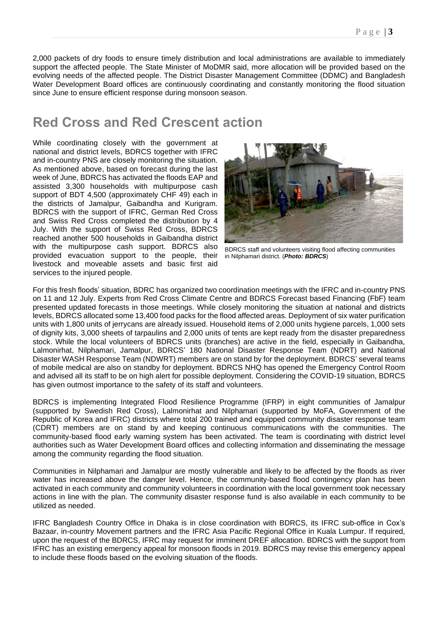2,000 packets of dry foods to ensure timely distribution and local administrations are available to immediately support the affected people. The State Minister of MoDMR said, more allocation will be provided based on the evolving needs of the affected people. The District Disaster Management Committee (DDMC) and Bangladesh Water Development Board offices are continuously coordinating and constantly monitoring the flood situation since June to ensure efficient response during monsoon season.

## **Red Cross and Red Crescent action**

While coordinating closely with the government at national and district levels, BDRCS together with IFRC and in-country PNS are closely monitoring the situation. As mentioned above, based on forecast during the last week of June, BDRCS has activated the floods EAP and assisted 3,300 households with multipurpose cash support of BDT 4,500 (approximately CHF 49) each in the districts of Jamalpur, Gaibandha and Kurigram. BDRCS with the support of IFRC, German Red Cross and Swiss Red Cross completed the distribution by 4 July. With the support of Swiss Red Cross, BDRCS reached another 500 households in Gaibandha district with the multipurpose cash support. BDRCS also provided evacuation support to the people, their livestock and moveable assets and basic first aid services to the injured people.



BDRCS staff and volunteers visiting flood affecting communities in Nilphamari district. (*Photo: BDRCS*)

For this fresh floods' situation, BDRC has organized two coordination meetings with the IFRC and in-country PNS on 11 and 12 July. Experts from Red Cross Climate Centre and BDRCS Forecast based Financing (FbF) team presented updated forecasts in those meetings. While closely monitoring the situation at national and districts levels, BDRCS allocated some 13,400 food packs for the flood affected areas. Deployment of six water purification units with 1,800 units of jerrycans are already issued. Household items of 2,000 units hygiene parcels, 1,000 sets of dignity kits, 3,000 sheets of tarpaulins and 2,000 units of tents are kept ready from the disaster preparedness stock. While the local volunteers of BDRCS units (branches) are active in the field, especially in Gaibandha, Lalmonirhat, Nilphamari, Jamalpur, BDRCS' 180 National Disaster Response Team (NDRT) and National Disaster WASH Response Team (NDWRT) members are on stand by for the deployment. BDRCS' several teams of mobile medical are also on standby for deployment. BDRCS NHQ has opened the Emergency Control Room and advised all its staff to be on high alert for possible deployment. Considering the COVID-19 situation, BDRCS has given outmost importance to the safety of its staff and volunteers.

BDRCS is implementing Integrated Flood Resilience Programme (IFRP) in eight communities of Jamalpur (supported by Swedish Red Cross), Lalmonirhat and Nilphamari (supported by MoFA, Government of the Republic of Korea and IFRC) districts where total 200 trained and equipped community disaster response team (CDRT) members are on stand by and keeping continuous communications with the communities. The community-based flood early warning system has been activated. The team is coordinating with district level authorities such as Water Development Board offices and collecting information and disseminating the message among the community regarding the flood situation.

Communities in Nilphamari and Jamalpur are mostly vulnerable and likely to be affected by the floods as river water has increased above the danger level. Hence, the community-based flood contingency plan has been activated in each community and community volunteers in coordination with the local government took necessary actions in line with the plan. The community disaster response fund is also available in each community to be utilized as needed.

IFRC Bangladesh Country Office in Dhaka is in close coordination with BDRCS, its IFRC sub-office in Cox's Bazaar, in-country Movement partners and the IFRC Asia Pacific Regional Office in Kuala Lumpur. If required, upon the request of the BDRCS, IFRC may request for imminent DREF allocation. BDRCS with the support from IFRC has an existing emergency appeal for monsoon floods in 2019. BDRCS may revise this emergency appeal to include these floods based on the evolving situation of the floods.